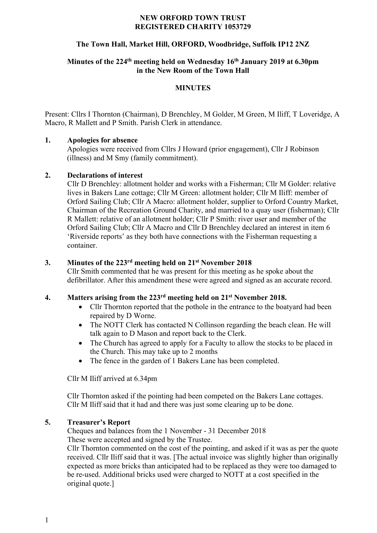## **NEW ORFORD TOWN TRUST REGISTERED CHARITY 1053729**

# **The Town Hall, Market Hill, ORFORD, Woodbridge, Suffolk IP12 2NZ**

# **Minutes of the 224th meeting held on Wednesday 16th January 2019 at 6.30pm in the New Room of the Town Hall**

### **MINUTES**

Present: Cllrs I Thornton (Chairman), D Brenchley, M Golder, M Green, M Iliff, T Loveridge, A Macro, R Mallett and P Smith. Parish Clerk in attendance.

### **1. Apologies for absence**

Apologies were received from Cllrs J Howard (prior engagement), Cllr J Robinson (illness) and M Smy (family commitment).

### **2. Declarations of interest**

Cllr D Brenchley: allotment holder and works with a Fisherman; Cllr M Golder: relative lives in Bakers Lane cottage; Cllr M Green: allotment holder; Cllr M Iliff: member of Orford Sailing Club; Cllr A Macro: allotment holder, supplier to Orford Country Market, Chairman of the Recreation Ground Charity, and married to a quay user (fisherman); Cllr R Mallett: relative of an allotment holder; Cllr P Smith: river user and member of the Orford Sailing Club; Cllr A Macro and Cllr D Brenchley declared an interest in item 6 'Riverside reports' as they both have connections with the Fisherman requesting a container.

## **3. Minutes of the 223rd meeting held on 21st November 2018**

Cllr Smith commented that he was present for this meeting as he spoke about the defibrillator. After this amendment these were agreed and signed as an accurate record.

### **4. Matters arising from the 223rd meeting held on 21st November 2018.**

- Cllr Thornton reported that the pothole in the entrance to the boatyard had been repaired by D Worne.
- The NOTT Clerk has contacted N Collinson regarding the beach clean. He will talk again to D Mason and report back to the Clerk.
- The Church has agreed to apply for a Faculty to allow the stocks to be placed in the Church. This may take up to 2 months
- The fence in the garden of 1 Bakers Lane has been completed.

Cllr M Iliff arrived at 6.34pm

Cllr Thornton asked if the pointing had been competed on the Bakers Lane cottages. Cllr M Iliff said that it had and there was just some clearing up to be done.

#### **5. Treasurer's Report**

Cheques and balances from the 1 November - 31 December 2018 These were accepted and signed by the Trustee.

Cllr Thornton commented on the cost of the pointing, and asked if it was as per the quote received. Cllr Iliff said that it was. [The actual invoice was slightly higher than originally expected as more bricks than anticipated had to be replaced as they were too damaged to be re-used. Additional bricks used were charged to NOTT at a cost specified in the original quote.]